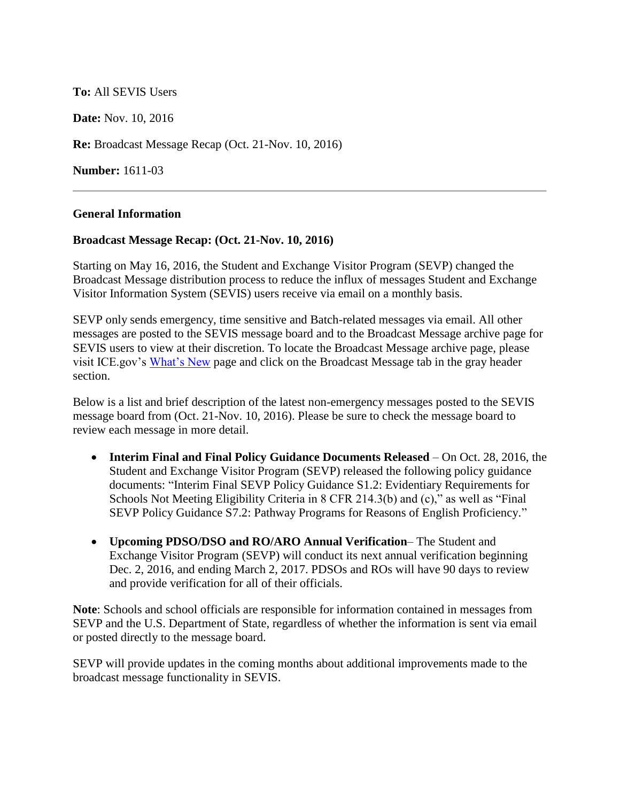# **To:** All SEVIS Users

**Date:** Nov. 10, 2016

**Re:** Broadcast Message Recap (Oct. 21-Nov. 10, 2016)

**Number:** 1611-03

### **General Information**

#### **Broadcast Message Recap: (Oct. 21-Nov. 10, 2016)**

Starting on May 16, 2016, the Student and Exchange Visitor Program (SEVP) changed the Broadcast Message distribution process to reduce the influx of messages Student and Exchange Visitor Information System (SEVIS) users receive via email on a monthly basis.

SEVP only sends emergency, time sensitive and Batch-related messages via email. All other messages are posted to the SEVIS message board and to the Broadcast Message archive page for SEVIS users to view at their discretion. To locate the Broadcast Message archive page, please visit ICE.gov's [What's New](https://www.ice.gov/sevis/whats-new) page and click on the Broadcast Message tab in the gray header section.

Below is a list and brief description of the latest non-emergency messages posted to the SEVIS message board from (Oct. 21-Nov. 10, 2016). Please be sure to check the message board to review each message in more detail.

- **Interim Final and Final Policy Guidance Documents Released** On Oct. 28, 2016, the Student and Exchange Visitor Program (SEVP) released the following policy guidance documents: "Interim Final SEVP Policy Guidance S1.2: Evidentiary Requirements for Schools Not Meeting Eligibility Criteria in 8 CFR 214.3(b) and (c)," as well as "Final SEVP Policy Guidance S7.2: Pathway Programs for Reasons of English Proficiency."
- **Upcoming PDSO/DSO and RO/ARO Annual Verification** The Student and Exchange Visitor Program (SEVP) will conduct its next annual verification beginning Dec. 2, 2016, and ending March 2, 2017. PDSOs and ROs will have 90 days to review and provide verification for all of their officials.

**Note**: Schools and school officials are responsible for information contained in messages from SEVP and the U.S. Department of State, regardless of whether the information is sent via email or posted directly to the message board.

SEVP will provide updates in the coming months about additional improvements made to the broadcast message functionality in SEVIS.